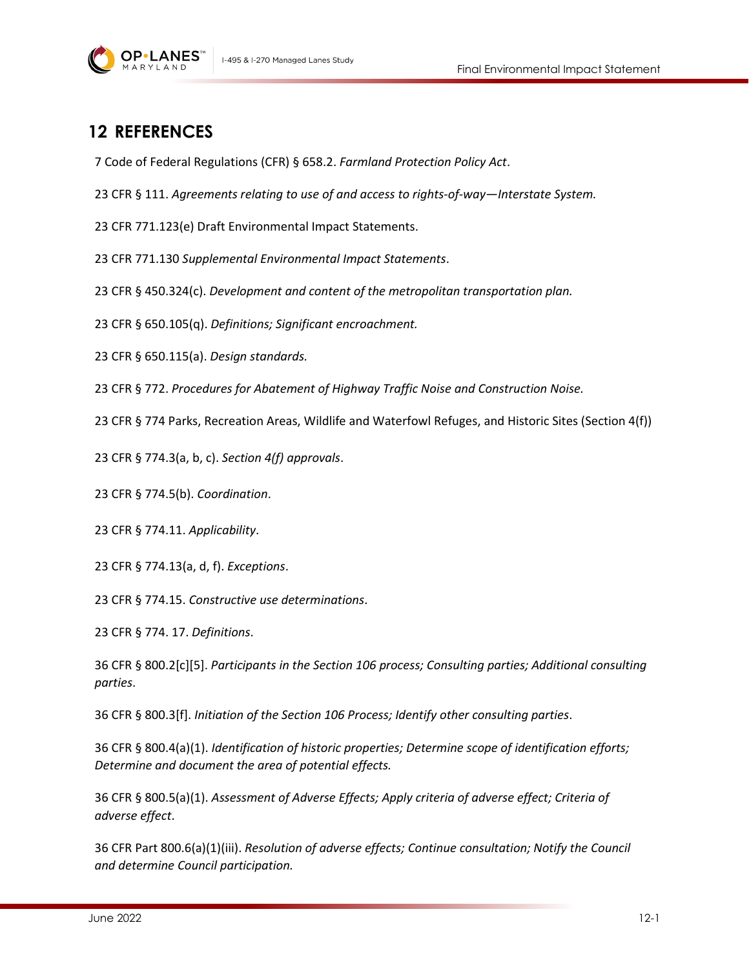

## **12 REFERENCES**

7 Code of Federal Regulations (CFR) § 658.2. *Farmland Protection Policy Act*.

23 CFR § 111. *Agreements relating to use of and access to rights-of-way—Interstate System.*

23 CFR 771.123(e) Draft Environmental Impact Statements.

23 CFR 771.130 *Supplemental Environmental Impact Statements*.

23 CFR § 450.324(c). *Development and content of the metropolitan transportation plan.*

23 CFR § 650.105(q). *Definitions; Significant encroachment.*

23 CFR § 650.115(a). *Design standards.*

23 CFR § 772. *Procedures for Abatement of Highway Traffic Noise and Construction Noise.*

23 CFR § 774 Parks, Recreation Areas, Wildlife and Waterfowl Refuges, and Historic Sites (Section 4(f))

23 CFR § 774.3(a, b, c). *Section 4(f) approvals*.

23 CFR § 774.5(b). *Coordination*.

23 CFR § 774.11. *Applicability*.

23 CFR § 774.13(a, d, f). *Exceptions*.

23 CFR § 774.15. *Constructive use determinations*.

23 CFR § 774. 17. *Definitions*.

36 CFR § 800.2[c][5]. *Participants in the Section 106 process; Consulting parties; Additional consulting parties*.

36 CFR § 800.3[f]. *Initiation of the Section 106 Process; Identify other consulting parties*.

36 CFR § 800.4(a)(1). *Identification of historic properties; Determine scope of identification efforts; Determine and document the area of potential effects.*

36 CFR § 800.5(a)(1). *Assessment of Adverse Effects; Apply criteria of adverse effect; Criteria of adverse effect*.

36 CFR Part 800.6(a)(1)(iii). *Resolution of adverse effects; Continue consultation; Notify the Council and determine Council participation.*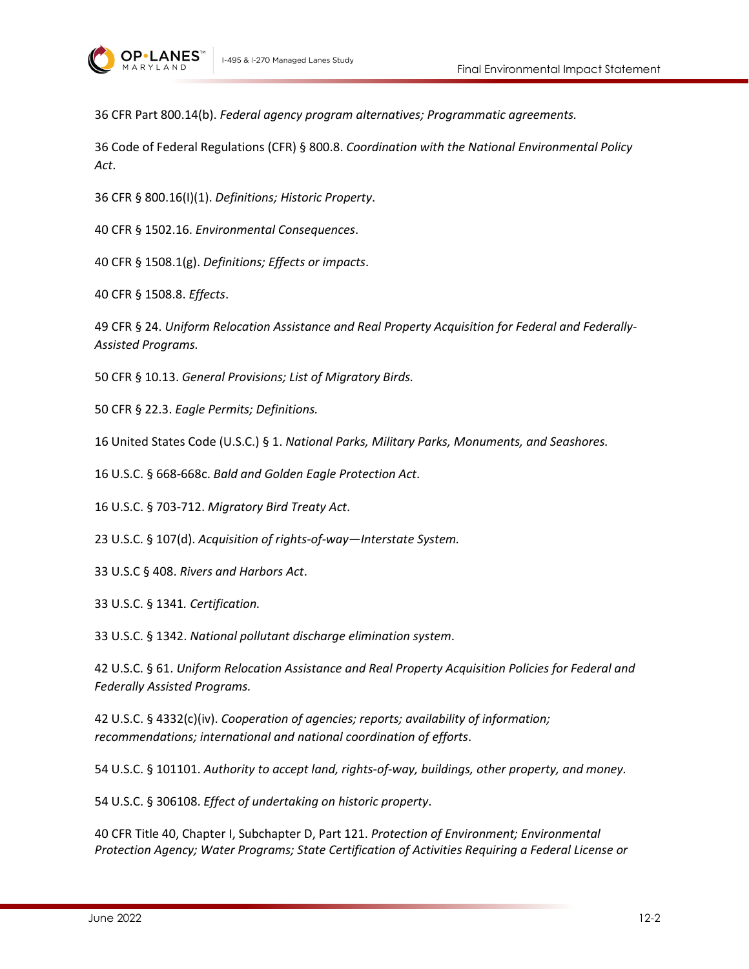

36 CFR Part 800.14(b). *Federal agency program alternatives; Programmatic agreements.*

36 Code of Federal Regulations (CFR) § 800.8. *Coordination with the National Environmental Policy Act*.

36 CFR § 800.16(I)(1). *Definitions; Historic Property*.

40 CFR § 1502.16. *Environmental Consequences*.

40 CFR § 1508.1(g). *Definitions; Effects or impacts*.

40 CFR § 1508.8. *Effects*.

49 CFR § 24. *Uniform Relocation Assistance and Real Property Acquisition for Federal and Federally-Assisted Programs.*

50 CFR § 10.13. *General Provisions; List of Migratory Birds.*

50 CFR § 22.3. *Eagle Permits; Definitions.*

16 United States Code (U.S.C.) § 1. *National Parks, Military Parks, Monuments, and Seashores.*

16 U.S.C. § 668-668c. *Bald and Golden Eagle Protection Act*.

16 U.S.C. § 703-712. *Migratory Bird Treaty Act*.

23 U.S.C. § 107(d). *Acquisition of rights-of-way—Interstate System.*

33 U.S.C § 408. *Rivers and Harbors Act*.

33 U.S.C. § 1341*. Certification.*

33 U.S.C. § 1342. *National pollutant discharge elimination system*.

42 U.S.C. § 61. *Uniform Relocation Assistance and Real Property Acquisition Policies for Federal and Federally Assisted Programs.*

42 U.S.C. § 4332(c)(iv). *Cooperation of agencies; reports; availability of information; recommendations; international and national coordination of efforts*.

54 U.S.C. § 101101. *Authority to accept land, rights-of-way, buildings, other property, and money.*

54 U.S.C. § 306108. *Effect of undertaking on historic property*.

40 CFR Title 40, Chapter I, Subchapter D, Part 121. *Protection of Environment; Environmental Protection Agency; Water Programs; State Certification of Activities Requiring a Federal License or*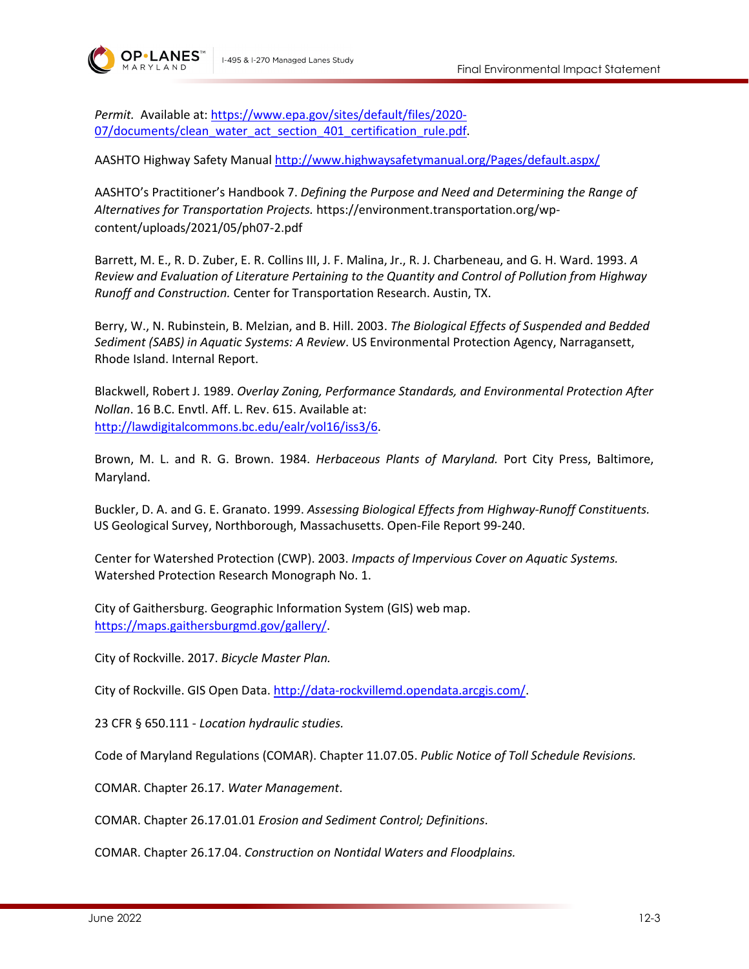

*Permit.* Available at: [https://www.epa.gov/sites/default/files/2020-](https://www.epa.gov/sites/default/files/2020-07/documents/clean_water_act_section_401_certification_rule.pdf) [07/documents/clean\\_water\\_act\\_section\\_401\\_certification\\_rule.pdf.](https://www.epa.gov/sites/default/files/2020-07/documents/clean_water_act_section_401_certification_rule.pdf)

AASHTO Highway Safety Manual <http://www.highwaysafetymanual.org/Pages/default.aspx/>

AASHTO's Practitioner's Handbook 7. *Defining the Purpose and Need and Determining the Range of Alternatives for Transportation Projects.* https://environment.transportation.org/wpcontent/uploads/2021/05/ph07-2.pdf

Barrett, M. E., R. D. Zuber, E. R. Collins III, J. F. Malina, Jr., R. J. Charbeneau, and G. H. Ward. 1993. *A Review and Evaluation of Literature Pertaining to the Quantity and Control of Pollution from Highway Runoff and Construction.* Center for Transportation Research. Austin, TX.

Berry, W., N. Rubinstein, B. Melzian, and B. Hill. 2003. *The Biological Effects of Suspended and Bedded Sediment (SABS) in Aquatic Systems: A Review*. US Environmental Protection Agency, Narragansett, Rhode Island. Internal Report.

Blackwell, Robert J. 1989. *Overlay Zoning, Performance Standards, and Environmental Protection After Nollan*. 16 B.C. Envtl. Aff. L. Rev. 615. Available at: [http://lawdigitalcommons.bc.edu/ealr/vol16/iss3/6.](http://lawdigitalcommons.bc.edu/ealr/vol16/iss3/6)

Brown, M. L. and R. G. Brown. 1984. *Herbaceous Plants of Maryland.* Port City Press, Baltimore, Maryland.

Buckler, D. A. and G. E. Granato. 1999. *Assessing Biological Effects from Highway-Runoff Constituents.* US Geological Survey, Northborough, Massachusetts. Open-File Report 99-240.

Center for Watershed Protection (CWP). 2003. *Impacts of Impervious Cover on Aquatic Systems.* Watershed Protection Research Monograph No. 1.

City of Gaithersburg. Geographic Information System (GIS) web map. [https://maps.gaithersburgmd.gov/gallery/.](https://maps.gaithersburgmd.gov/gallery/)

City of Rockville. 2017. *Bicycle Master Plan.*

City of Rockville. GIS Open Data[. http://data-rockvillemd.opendata.arcgis.com/.](http://data-rockvillemd.opendata.arcgis.com/)

23 CFR § 650.111 - *Location hydraulic studies.*

Code of Maryland Regulations (COMAR). Chapter 11.07.05. *Public Notice of Toll Schedule Revisions.*

COMAR. Chapter 26.17. *Water Management*.

COMAR. Chapter 26.17.01.01 *Erosion and Sediment Control; Definitions*.

COMAR. Chapter 26.17.04. *Construction on Nontidal Waters and Floodplains.*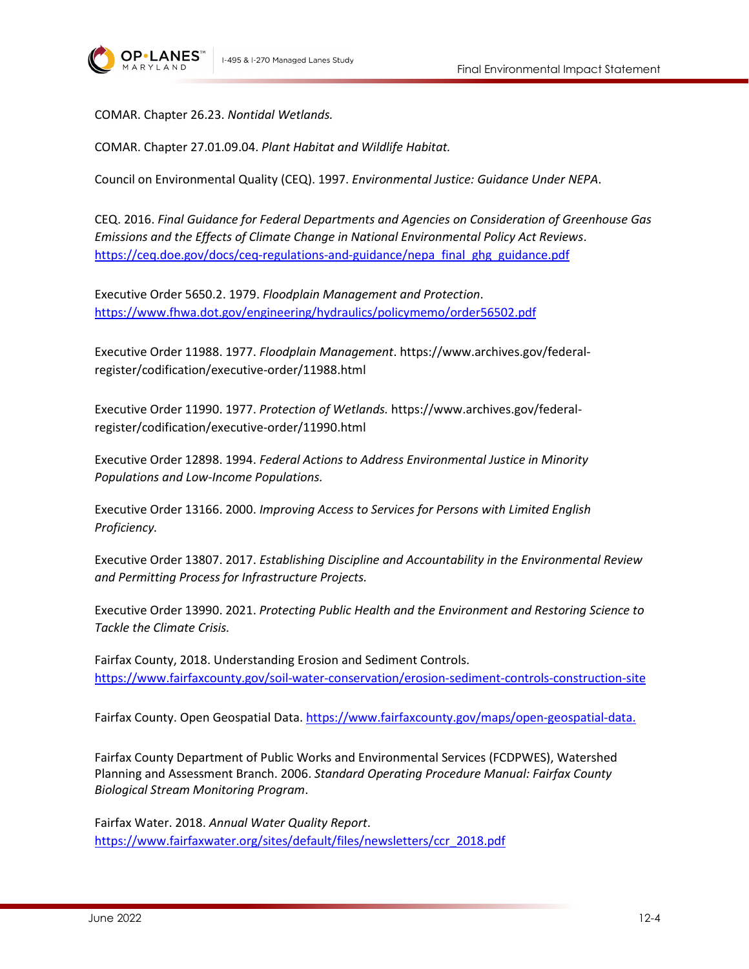

COMAR. Chapter 26.23. *Nontidal Wetlands.*

COMAR. Chapter 27.01.09.04. *Plant Habitat and Wildlife Habitat.*

Council on Environmental Quality (CEQ). 1997. *Environmental Justice: Guidance Under NEPA*.

CEQ. 2016. *Final Guidance for Federal Departments and Agencies on Consideration of Greenhouse Gas Emissions and the Effects of Climate Change in National Environmental Policy Act Reviews*. [https://ceq.doe.gov/docs/ceq-regulations-and-guidance/nepa\\_final\\_ghg\\_guidance.pdf](https://ceq.doe.gov/docs/ceq-regulations-and-guidance/nepa_final_ghg_guidance.pdf)

Executive Order 5650.2. 1979. *Floodplain Management and Protection*. <https://www.fhwa.dot.gov/engineering/hydraulics/policymemo/order56502.pdf>

Executive Order 11988. 1977. *Floodplain Management*. https://www.archives.gov/federalregister/codification/executive-order/11988.html

Executive Order 11990. 1977. *Protection of Wetlands.* https://www.archives.gov/federalregister/codification/executive-order/11990.html

Executive Order 12898. 1994. *Federal Actions to Address Environmental Justice in Minority Populations and Low-Income Populations.*

Executive Order 13166. 2000. *Improving Access to Services for Persons with Limited English Proficiency.*

Executive Order 13807. 2017. *Establishing Discipline and Accountability in the Environmental Review and Permitting Process for Infrastructure Projects.*

Executive Order 13990. 2021. *Protecting Public Health and the Environment and Restoring Science to Tackle the Climate Crisis.*

Fairfax County, 2018. Understanding Erosion and Sediment Controls. <https://www.fairfaxcounty.gov/soil-water-conservation/erosion-sediment-controls-construction-site>

Fairfax County. Open Geospatial Data. [https://www.fairfaxcounty.gov/maps/open-geospatial-data.](https://www.fairfaxcounty.gov/maps/open-geospatial-data)

Fairfax County Department of Public Works and Environmental Services (FCDPWES), Watershed Planning and Assessment Branch. 2006. *Standard Operating Procedure Manual: Fairfax County Biological Stream Monitoring Program*.

Fairfax Water. 2018. *Annual Water Quality Report*. [https://www.fairfaxwater.org/sites/default/files/newsletters/ccr\\_2018.pdf](https://www.fairfaxwater.org/sites/default/files/newsletters/ccr_2018.pdf)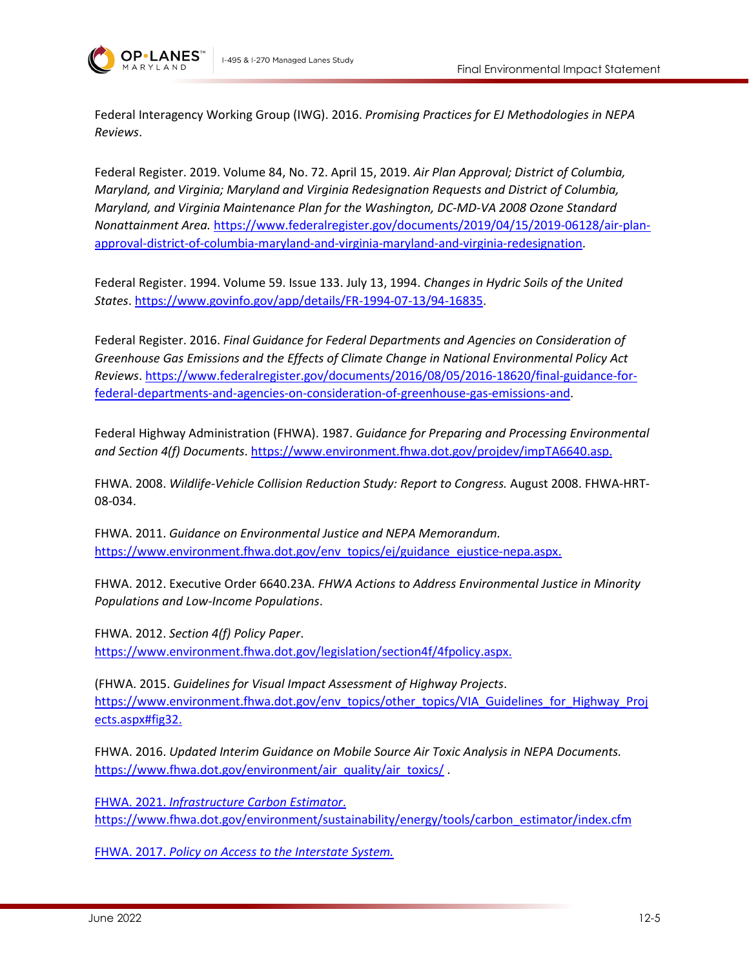

Federal Interagency Working Group (IWG). 2016. *Promising Practices for EJ Methodologies in NEPA Reviews*.

Federal Register. 2019. Volume 84, No. 72. April 15, 2019. *Air Plan Approval; District of Columbia, Maryland, and Virginia; Maryland and Virginia Redesignation Requests and District of Columbia, Maryland, and Virginia Maintenance Plan for the Washington, DC-MD-VA 2008 Ozone Standard Nonattainment Area.* [https://www.federalregister.gov/documents/2019/04/15/2019-06128/air-plan](https://www.federalregister.gov/documents/2019/04/15/2019-06128/air-plan-approval-district-of-columbia-maryland-and-virginia-maryland-and-virginia-redesignation)[approval-district-of-columbia-maryland-and-virginia-maryland-and-virginia-redesignation.](https://www.federalregister.gov/documents/2019/04/15/2019-06128/air-plan-approval-district-of-columbia-maryland-and-virginia-maryland-and-virginia-redesignation)

Federal Register. 1994. Volume 59. Issue 133. July 13, 1994. *Changes in Hydric Soils of the United States*. [https://www.govinfo.gov/app/details/FR-1994-07-13/94-16835.](https://www.govinfo.gov/app/details/FR-1994-07-13/94-16835)

Federal Register. 2016. *Final Guidance for Federal Departments and Agencies on Consideration of Greenhouse Gas Emissions and the Effects of Climate Change in National Environmental Policy Act Reviews*[. https://www.federalregister.gov/documents/2016/08/05/2016-18620/final-guidance-for](https://www.federalregister.gov/documents/2016/08/05/2016-18620/final-guidance-for-federal-departments-and-agencies-on-consideration-of-greenhouse-gas-emissions-and)[federal-departments-and-agencies-on-consideration-of-greenhouse-gas-emissions-and.](https://www.federalregister.gov/documents/2016/08/05/2016-18620/final-guidance-for-federal-departments-and-agencies-on-consideration-of-greenhouse-gas-emissions-and)

Federal Highway Administration (FHWA). 1987. *Guidance for Preparing and Processing Environmental and Section 4(f) Documents*. [https://www.environment.fhwa.dot.gov/projdev/impTA6640.asp.](https://www.environment.fhwa.dot.gov/projdev/impTA6640.asp)

FHWA. 2008. *Wildlife-Vehicle Collision Reduction Study: Report to Congress.* August 2008. FHWA-HRT-08-034.

FHWA. 2011. *Guidance on Environmental Justice and NEPA Memorandum.* [https://www.environment.fhwa.dot.gov/env\\_topics/ej/guidance\\_ejustice-nepa.aspx.](https://www.environment.fhwa.dot.gov/env_topics/ej/guidance_ejustice-nepa.aspx)

FHWA. 2012. Executive Order 6640.23A. *FHWA Actions to Address Environmental Justice in Minority Populations and Low-Income Populations*.

FHWA. 2012. *Section 4(f) Policy Paper*. [https://www.environment.fhwa.dot.gov/legislation/section4f/4fpolicy.aspx.](https://www.environment.fhwa.dot.gov/legislation/section4f/4fpolicy.aspx)

(FHWA. 2015. *Guidelines for Visual Impact Assessment of Highway Projects*. [https://www.environment.fhwa.dot.gov/env\\_topics/other\\_topics/VIA\\_Guidelines\\_for\\_Highway\\_Proj](https://www.environment.fhwa.dot.gov/env_topics/other_topics/VIA_Guidelines_for_Highway_Projects.aspx#fig32) [ects.aspx#fig32.](https://www.environment.fhwa.dot.gov/env_topics/other_topics/VIA_Guidelines_for_Highway_Projects.aspx#fig32)

FHWA. 2016. *Updated Interim Guidance on Mobile Source Air Toxic Analysis in NEPA Documents.* [https://www.fhwa.dot.gov/environment/air\\_quality/air\\_toxics/](https://www.fhwa.dot.gov/environment/air_quality/air_toxics/)

FHWA. 2021. *Infrastructure Carbon Estimator*. [https://www.fhwa.dot.gov/environment/sustainability/energy/tools/carbon\\_estimator/index.cfm](https://www.fhwa.dot.gov/environment/sustainability/energy/tools/carbon_estimator/index.cfm)

FHWA. 2017. *Policy on Access to the Interstate System.*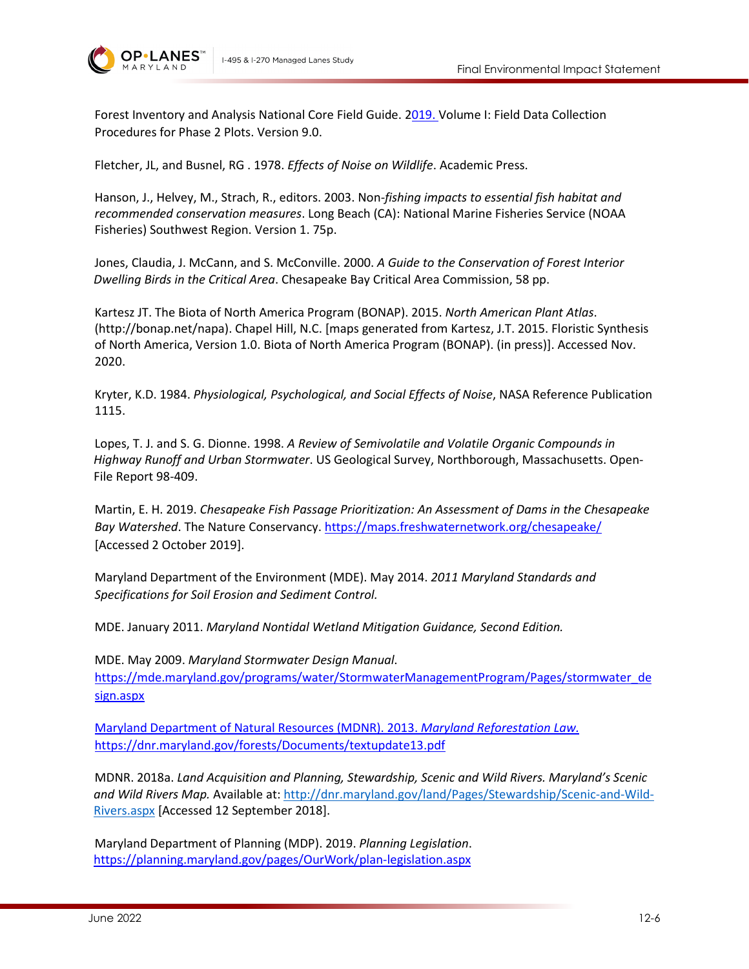



Forest Inventory and Analysis National Core Field Guide. 2019. Volume I: Field Data Collection Procedures for Phase 2 Plots. Version 9.0.

Fletcher, JL, and Busnel, RG . 1978. *Effects of Noise on Wildlife*. Academic Press.

Hanson, J., Helvey, M., Strach, R., editors. 2003. Non*-fishing impacts to essential fish habitat and recommended conservation measures*. Long Beach (CA): National Marine Fisheries Service (NOAA Fisheries) Southwest Region. Version 1. 75p.

Jones, Claudia, J. McCann, and S. McConville. 2000. *A Guide to the Conservation of Forest Interior Dwelling Birds in the Critical Area*. Chesapeake Bay Critical Area Commission, 58 pp.

Kartesz JT. The Biota of North America Program (BONAP). 2015. *North American Plant Atlas*. (http://bonap.net/napa). Chapel Hill, N.C. [maps generated from Kartesz, J.T. 2015. Floristic Synthesis of North America, Version 1.0. Biota of North America Program (BONAP). (in press)]. Accessed Nov. 2020.

Kryter, K.D. 1984. *Physiological, Psychological, and Social Effects of Noise*, NASA Reference Publication 1115.

Lopes, T. J. and S. G. Dionne. 1998. *A Review of Semivolatile and Volatile Organic Compounds in Highway Runoff and Urban Stormwater*. US Geological Survey, Northborough, Massachusetts. Open-File Report 98-409.

Martin, E. H. 2019. *Chesapeake Fish Passage Prioritization: An Assessment of Dams in the Chesapeake Bay Watershed*. The Nature Conservancy[. https://maps.freshwaternetwork.org/chesapeake/](https://maps.freshwaternetwork.org/chesapeake/) [Accessed 2 October 2019].

Maryland Department of the Environment (MDE). May 2014. *2011 Maryland Standards and Specifications for Soil Erosion and Sediment Control.*

MDE. January 2011. *Maryland Nontidal Wetland Mitigation Guidance, Second Edition.*

MDE. May 2009. *Maryland Stormwater Design Manual*. [https://mde.maryland.gov/programs/water/StormwaterManagementProgram/Pages/stormwater\\_de](https://mde.maryland.gov/programs/water/StormwaterManagementProgram/Pages/stormwater_design.aspx) [sign.aspx](https://mde.maryland.gov/programs/water/StormwaterManagementProgram/Pages/stormwater_design.aspx)

Maryland Department of Natural Resources (MDNR). 2013. *Maryland Reforestation Law.* <https://dnr.maryland.gov/forests/Documents/textupdate13.pdf>

MDNR. 2018a. *Land Acquisition and Planning, Stewardship, Scenic and Wild Rivers. Maryland's Scenic and Wild Rivers Map.* Available at: [http://dnr.maryland.gov/land/Pages/Stewardship/Scenic-and-Wild-](http://dnr.maryland.gov/land/Pages/Stewardship/Scenic-and-Wild-Rivers.aspx)[Rivers.aspx](http://dnr.maryland.gov/land/Pages/Stewardship/Scenic-and-Wild-Rivers.aspx) [Accessed 12 September 2018].

Maryland Department of Planning (MDP). 2019. *Planning Legislation*. <https://planning.maryland.gov/pages/OurWork/plan-legislation.aspx>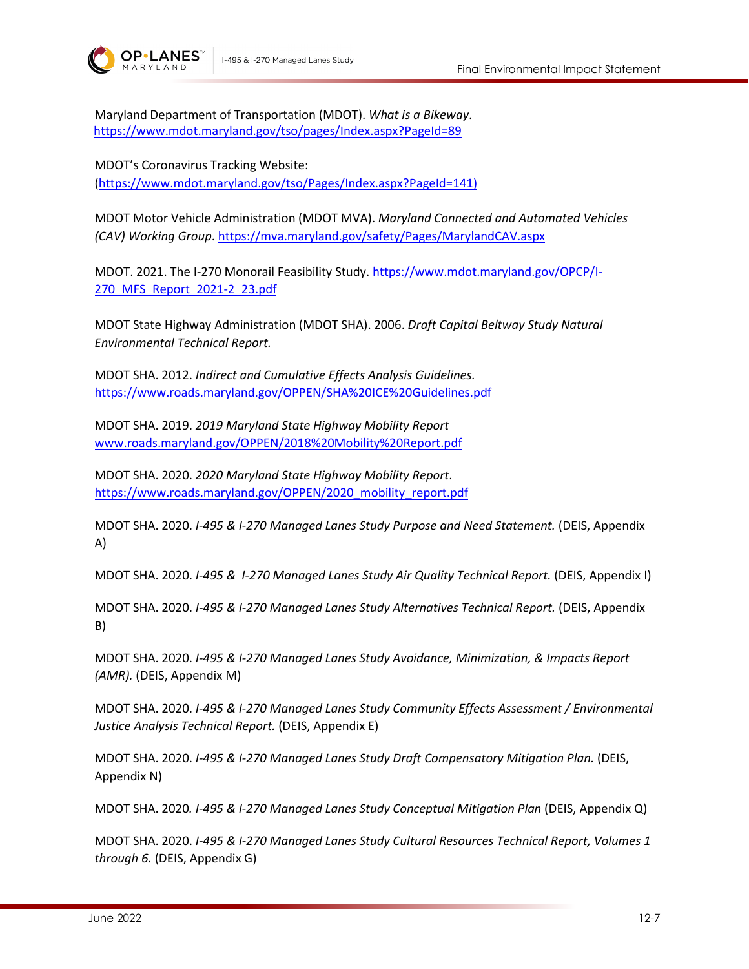



Maryland Department of Transportation (MDOT). *What is a Bikeway*. <https://www.mdot.maryland.gov/tso/pages/Index.aspx?PageId=89>

MDOT's Coronavirus Tracking Website: [\(https://www.mdot.maryland.gov/tso/Pages/Index.aspx?PageId=141\)](https://www.mdot.maryland.gov/tso/Pages/Index.aspx?PageId=141)

MDOT Motor Vehicle Administration (MDOT MVA). *Maryland Connected and Automated Vehicles (CAV) Working Group*.<https://mva.maryland.gov/safety/Pages/MarylandCAV.aspx>

MDOT. 2021. The I-270 Monorail Feasibility Study. [https://www.mdot.maryland.gov/OPCP/I-](https://www.mdot.maryland.gov/OPCP/I-270_MFS_Report_2021-2_23.pdf)[270\\_MFS\\_Report\\_2021-2\\_23.pdf](https://www.mdot.maryland.gov/OPCP/I-270_MFS_Report_2021-2_23.pdf)

MDOT State Highway Administration (MDOT SHA). 2006. *Draft Capital Beltway Study Natural Environmental Technical Report.*

MDOT SHA. 2012. *Indirect and Cumulative Effects Analysis Guidelines.*  <https://www.roads.maryland.gov/OPPEN/SHA%20ICE%20Guidelines.pdf>

MDOT SHA. 2019. *2019 Maryland State Highway Mobility Report*  [www.roads.maryland.gov/OPPEN/2018%20Mobility%20Report.pdf](http://www.roads.maryland.gov/OPPEN/2018%20Mobility%20Report.pdf)

MDOT SHA. 2020. *2020 Maryland State Highway Mobility Report*. [https://www.roads.maryland.gov/OPPEN/2020\\_mobility\\_report.pdf](https://www.roads.maryland.gov/OPPEN/2020_mobility_report.pdf)

MDOT SHA. 2020. *I-495 & I-270 Managed Lanes Study Purpose and Need Statement.* (DEIS, Appendix A)

MDOT SHA. 2020. *I-495 & I-270 Managed Lanes Study Air Quality Technical Report.* (DEIS, Appendix I)

MDOT SHA. 2020. *I-495 & I-270 Managed Lanes Study Alternatives Technical Report.* (DEIS, Appendix B)

MDOT SHA. 2020. *I-495 & I-270 Managed Lanes Study Avoidance, Minimization, & Impacts Report (AMR).* (DEIS, Appendix M)

MDOT SHA. 2020. *I-495 & I-270 Managed Lanes Study Community Effects Assessment / Environmental Justice Analysis Technical Report.* (DEIS, Appendix E)

MDOT SHA. 2020. *I-495 & I-270 Managed Lanes Study Draft Compensatory Mitigation Plan.* (DEIS, Appendix N)

MDOT SHA. 2020*. I-495 & I-270 Managed Lanes Study Conceptual Mitigation Plan* (DEIS, Appendix Q)

MDOT SHA. 2020. *I-495 & I-270 Managed Lanes Study Cultural Resources Technical Report, Volumes 1 through 6.* (DEIS, Appendix G)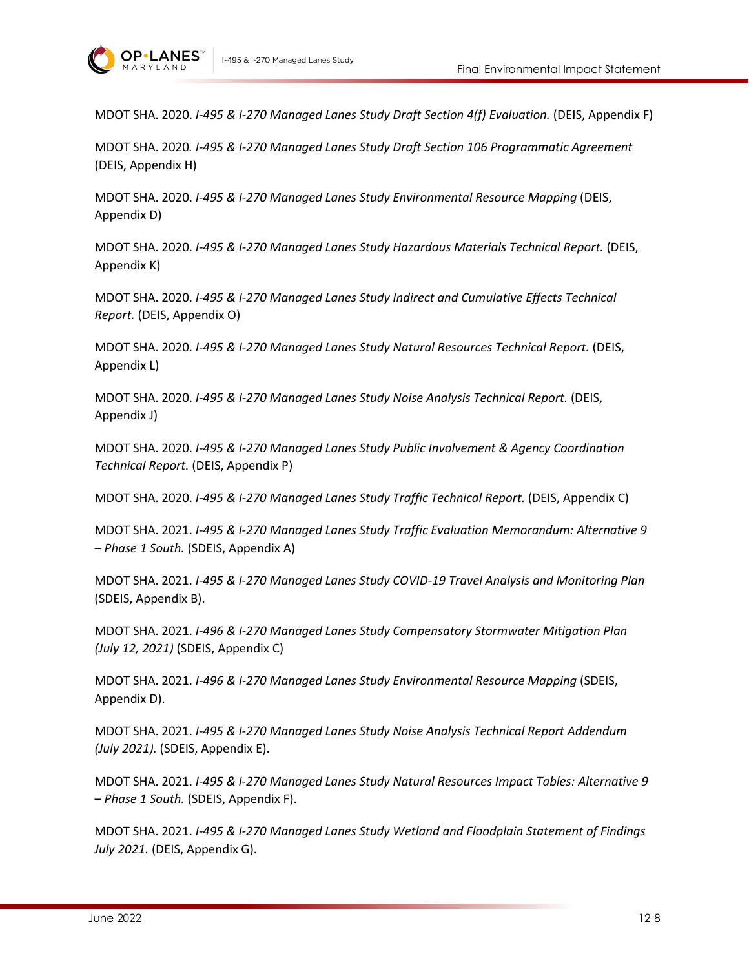

MDOT SHA. 2020. *I-495 & I-270 Managed Lanes Study Draft Section 4(f) Evaluation.* (DEIS, Appendix F)

MDOT SHA. 2020*. I-495 & I-270 Managed Lanes Study Draft Section 106 Programmatic Agreement*  (DEIS, Appendix H)

MDOT SHA. 2020. *I-495 & I-270 Managed Lanes Study Environmental Resource Mapping* (DEIS, Appendix D)

MDOT SHA. 2020. *I-495 & I-270 Managed Lanes Study Hazardous Materials Technical Report.* (DEIS, Appendix K)

MDOT SHA. 2020. *I-495 & I-270 Managed Lanes Study Indirect and Cumulative Effects Technical Report.* (DEIS, Appendix O)

MDOT SHA. 2020. *I-495 & I-270 Managed Lanes Study Natural Resources Technical Report.* (DEIS, Appendix L)

MDOT SHA. 2020. *I-495 & I-270 Managed Lanes Study Noise Analysis Technical Report.* (DEIS, Appendix J)

MDOT SHA. 2020. *I-495 & I-270 Managed Lanes Study Public Involvement & Agency Coordination Technical Report.* (DEIS, Appendix P)

MDOT SHA. 2020. *I-495 & I-270 Managed Lanes Study Traffic Technical Report.* (DEIS, Appendix C)

MDOT SHA. 2021. *I-495 & I-270 Managed Lanes Study Traffic Evaluation Memorandum: Alternative 9 – Phase 1 South.* (SDEIS, Appendix A)

MDOT SHA. 2021. *I-495 & I-270 Managed Lanes Study COVID-19 Travel Analysis and Monitoring Plan*  (SDEIS, Appendix B).

MDOT SHA. 2021. *I-496 & I-270 Managed Lanes Study Compensatory Stormwater Mitigation Plan (July 12, 2021)* (SDEIS, Appendix C)

MDOT SHA. 2021. *I-496 & I-270 Managed Lanes Study Environmental Resource Mapping* (SDEIS, Appendix D).

MDOT SHA. 2021. *I-495 & I-270 Managed Lanes Study Noise Analysis Technical Report Addendum (July 2021).* (SDEIS, Appendix E).

MDOT SHA. 2021. *I-495 & I-270 Managed Lanes Study Natural Resources Impact Tables: Alternative 9 – Phase 1 South.* (SDEIS, Appendix F).

MDOT SHA. 2021. *I-495 & I-270 Managed Lanes Study Wetland and Floodplain Statement of Findings July 2021.* (DEIS, Appendix G).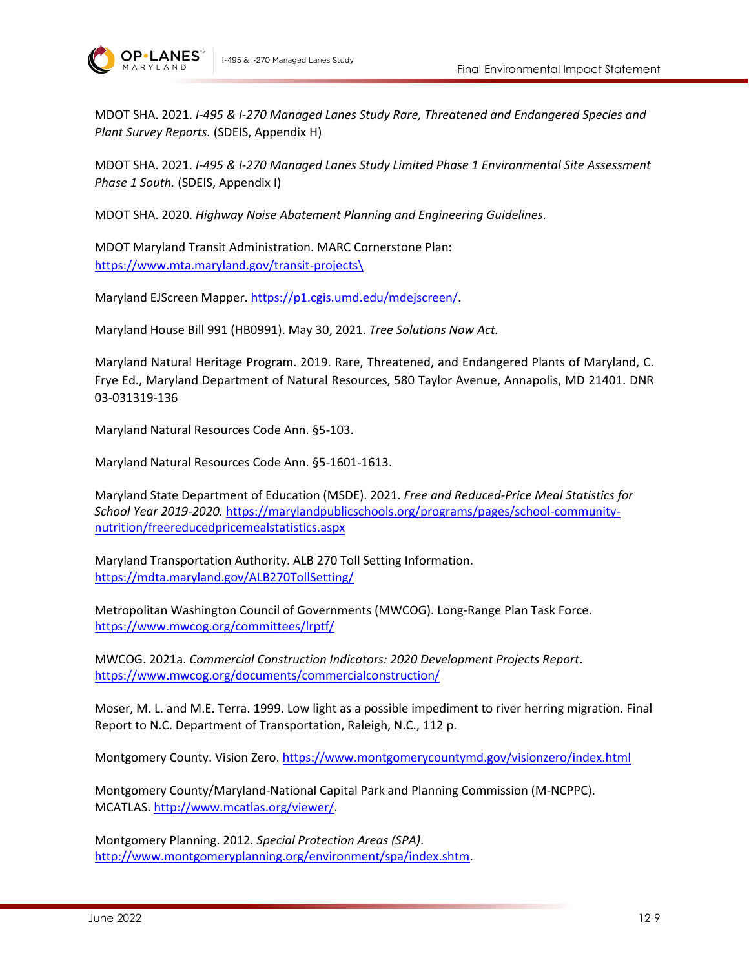

MDOT SHA. 2021. *I-495 & I-270 Managed Lanes Study Rare, Threatened and Endangered Species and Plant Survey Reports.* (SDEIS, Appendix H)

MDOT SHA. 2021. *I-495 & I-270 Managed Lanes Study Limited Phase 1 Environmental Site Assessment Phase 1 South.* (SDEIS, Appendix I)

MDOT SHA. 2020. *Highway Noise Abatement Planning and Engineering Guidelines*.

MDOT Maryland Transit Administration. MARC Cornerstone Plan: [https://www.mta.maryland.gov/transit-projects\](https://www.mta.maryland.gov/transit-projects/)

Maryland EJScreen Mapper. [https://p1.cgis.umd.edu/mdejscreen/.](https://p1.cgis.umd.edu/mdejscreen/)

Maryland House Bill 991 (HB0991). May 30, 2021. *Tree Solutions Now Act.*

Maryland Natural Heritage Program. 2019. Rare, Threatened, and Endangered Plants of Maryland, C. Frye Ed., Maryland Department of Natural Resources, 580 Taylor Avenue, Annapolis, MD 21401. DNR 03-031319-136

Maryland Natural Resources Code Ann. §5-103.

Maryland Natural Resources Code Ann. §5-1601-1613.

Maryland State Department of Education (MSDE). 2021. *Free and Reduced-Price Meal Statistics for School Year 2019-2020.* [https://marylandpublicschools.org/programs/pages/school-community](https://marylandpublicschools.org/programs/pages/school-community-nutrition/freereducedpricemealstatistics.aspx)[nutrition/freereducedpricemealstatistics.aspx](https://marylandpublicschools.org/programs/pages/school-community-nutrition/freereducedpricemealstatistics.aspx)

Maryland Transportation Authority. ALB 270 Toll Setting Information. <https://mdta.maryland.gov/ALB270TollSetting/>

Metropolitan Washington Council of Governments (MWCOG). Long-Range Plan Task Force. <https://www.mwcog.org/committees/lrptf/>

MWCOG. 2021a. *Commercial Construction Indicators: 2020 Development Projects Report*. <https://www.mwcog.org/documents/commercialconstruction/>

Moser, M. L. and M.E. Terra. 1999. Low light as a possible impediment to river herring migration. Final Report to N.C. Department of Transportation, Raleigh, N.C., 112 p.

Montgomery County. Vision Zero.<https://www.montgomerycountymd.gov/visionzero/index.html>

Montgomery County/Maryland-National Capital Park and Planning Commission (M-NCPPC). MCATLAS[. http://www.mcatlas.org/viewer/.](http://www.mcatlas.org/viewer/)

Montgomery Planning. 2012. *Special Protection Areas (SPA)*. [http://www.montgomeryplanning.org/environment/spa/index.shtm.](http://www.montgomeryplanning.org/environment/spa/index.shtm)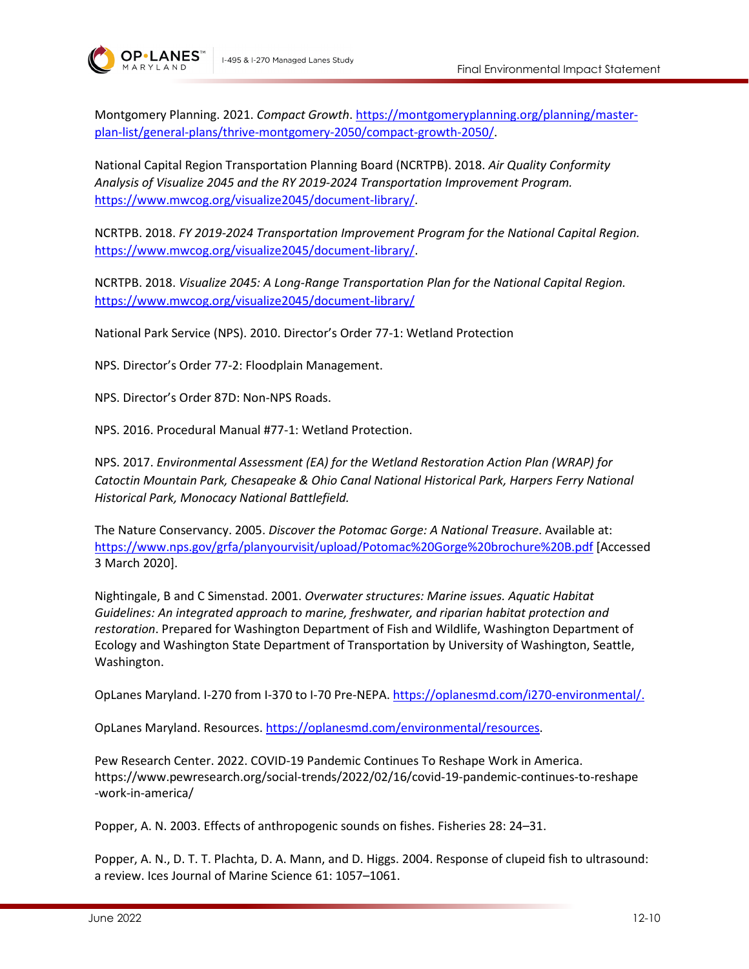



Montgomery Planning. 2021. *Compact Growth*. [https://montgomeryplanning.org/planning/master](https://montgomeryplanning.org/planning/master-plan-list/general-plans/thrive-montgomery-2050/compact-growth-2050/)[plan-list/general-plans/thrive-montgomery-2050/compact-growth-2050/.](https://montgomeryplanning.org/planning/master-plan-list/general-plans/thrive-montgomery-2050/compact-growth-2050/)

National Capital Region Transportation Planning Board (NCRTPB). 2018. *Air Quality Conformity Analysis of Visualize 2045 and the RY 2019-2024 Transportation Improvement Program.*  [https://www.mwcog.org/visualize2045/document-library/.](https://www.mwcog.org/visualize2045/document-library/)

NCRTPB. 2018. *FY 2019-2024 Transportation Improvement Program for the National Capital Region.*  [https://www.mwcog.org/visualize2045/document-library/.](https://www.mwcog.org/visualize2045/document-library/)

NCRTPB. 2018. *Visualize 2045: A Long-Range Transportation Plan for the National Capital Region.*  <https://www.mwcog.org/visualize2045/document-library/>

National Park Service (NPS). 2010. Director's Order 77-1: Wetland Protection

NPS. Director's Order 77-2: Floodplain Management.

NPS. Director's Order 87D: Non-NPS Roads.

NPS. 2016. Procedural Manual #77-1: Wetland Protection.

NPS. 2017. *Environmental Assessment (EA) for the Wetland Restoration Action Plan (WRAP) for Catoctin Mountain Park, Chesapeake & Ohio Canal National Historical Park, Harpers Ferry National Historical Park, Monocacy National Battlefield.*

The Nature Conservancy. 2005. *Discover the Potomac Gorge: A National Treasure*. Available at: <https://www.nps.gov/grfa/planyourvisit/upload/Potomac%20Gorge%20brochure%20B.pdf> [Accessed 3 March 2020].

Nightingale, B and C Simenstad. 2001. *Overwater structures: Marine issues. Aquatic Habitat Guidelines: An integrated approach to marine, freshwater, and riparian habitat protection and restoration*. Prepared for Washington Department of Fish and Wildlife, Washington Department of Ecology and Washington State Department of Transportation by University of Washington, Seattle, Washington.

OpLanes Maryland. I-270 from I-370 to I-70 Pre-NEPA. [https://oplanesmd.com/i270-environmental/.](https://oplanesmd.com/i270-environmental/)

OpLanes Maryland. Resources. [https://oplanesmd.com/environmental/resources.](https://oplanesmd.com/environmental/resources)

Pew Research Center. 2022. COVID-19 Pandemic Continues To Reshape Work in America. https://www.pewresearch.org/social-trends/2022/02/16/covid-19-pandemic-continues-to-reshape -work-in-america/

Popper, A. N. 2003. Effects of anthropogenic sounds on fishes. Fisheries 28: 24–31.

Popper, A. N., D. T. T. Plachta, D. A. Mann, and D. Higgs. 2004. Response of clupeid fish to ultrasound: a review. Ices Journal of Marine Science 61: 1057–1061.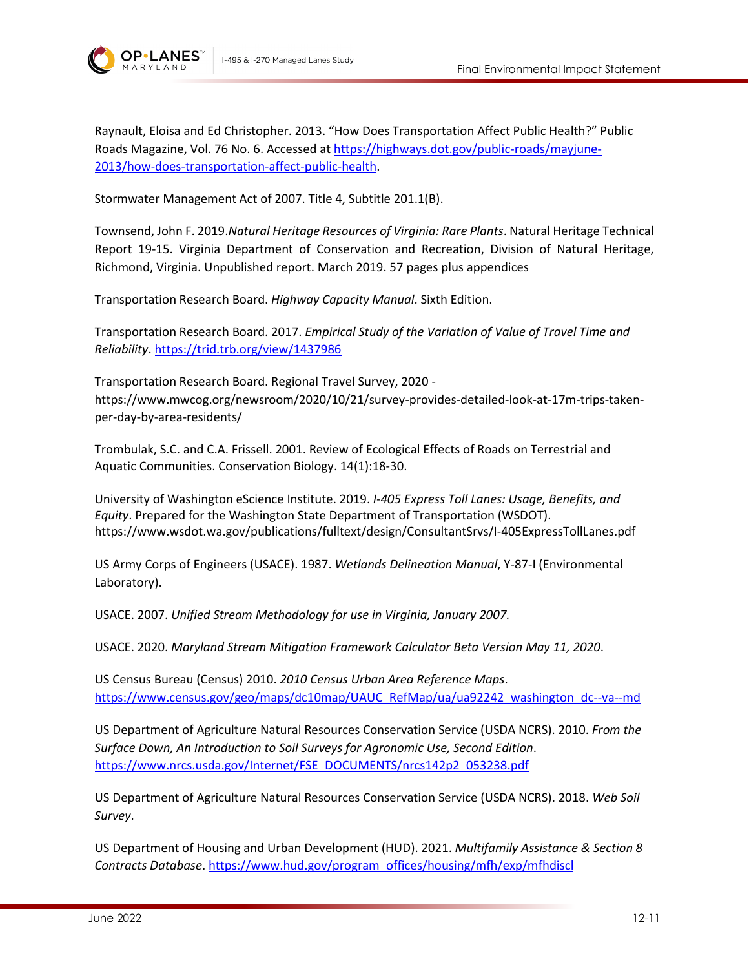

**OP**·LANE:

Raynault, Eloisa and Ed Christopher. 2013. "How Does Transportation Affect Public Health?" Public Roads Magazine, Vol. 76 No. 6. Accessed at [https://highways.dot.gov/public-roads/mayjune-](https://highways.dot.gov/public-roads/mayjune-2013/how-does-transportation-affect-public-health)[2013/how-does-transportation-affect-public-health.](https://highways.dot.gov/public-roads/mayjune-2013/how-does-transportation-affect-public-health)

Stormwater Management Act of 2007. Title 4, Subtitle 201.1(B).

Townsend, John F. 2019.*Natural Heritage Resources of Virginia: Rare Plants*. Natural Heritage Technical Report 19-15. Virginia Department of Conservation and Recreation, Division of Natural Heritage, Richmond, Virginia. Unpublished report. March 2019. 57 pages plus appendices

Transportation Research Board. *Highway Capacity Manual*. Sixth Edition.

Transportation Research Board. 2017. *Empirical Study of the Variation of Value of Travel Time and Reliability*.<https://trid.trb.org/view/1437986>

Transportation Research Board. Regional Travel Survey, 2020 https://www.mwcog.org/newsroom/2020/10/21/survey-provides-detailed-look-at-17m-trips-takenper-day-by-area-residents/

Trombulak, S.C. and C.A. Frissell. 2001. Review of Ecological Effects of Roads on Terrestrial and Aquatic Communities. Conservation Biology. 14(1):18-30.

University of Washington eScience Institute. 2019. *I-405 Express Toll Lanes: Usage, Benefits, and Equity*. Prepared for the Washington State Department of Transportation (WSDOT). https://www.wsdot.wa.gov/publications/fulltext/design/ConsultantSrvs/I-405ExpressTollLanes.pdf

US Army Corps of Engineers (USACE). 1987. *Wetlands Delineation Manual*, Y-87-I (Environmental Laboratory).

USACE. 2007. *Unified Stream Methodology for use in Virginia, January 2007.* 

USACE. 2020. *Maryland Stream Mitigation Framework Calculator Beta Version May 11, 2020*.

US Census Bureau (Census) 2010. *2010 Census Urban Area Reference Maps*. [https://www.census.gov/geo/maps/dc10map/UAUC\\_RefMap/ua/ua92242\\_washington\\_dc--va--md](https://www.census.gov/geo/maps/dc10map/UAUC_RefMap/ua/ua92242_washington_dc--va--md)

US Department of Agriculture Natural Resources Conservation Service (USDA NCRS). 2010. *From the Surface Down, An Introduction to Soil Surveys for Agronomic Use, Second Edition*. [https://www.nrcs.usda.gov/Internet/FSE\\_DOCUMENTS/nrcs142p2\\_053238.pdf](https://www.nrcs.usda.gov/Internet/FSE_DOCUMENTS/nrcs142p2_053238.pdf)

US Department of Agriculture Natural Resources Conservation Service (USDA NCRS). 2018. *Web Soil Survey*.

US Department of Housing and Urban Development (HUD). 2021. *Multifamily Assistance & Section 8 Contracts Database*[. https://www.hud.gov/program\\_offices/housing/mfh/exp/mfhdiscl](https://www.hud.gov/program_offices/housing/mfh/exp/mfhdiscl)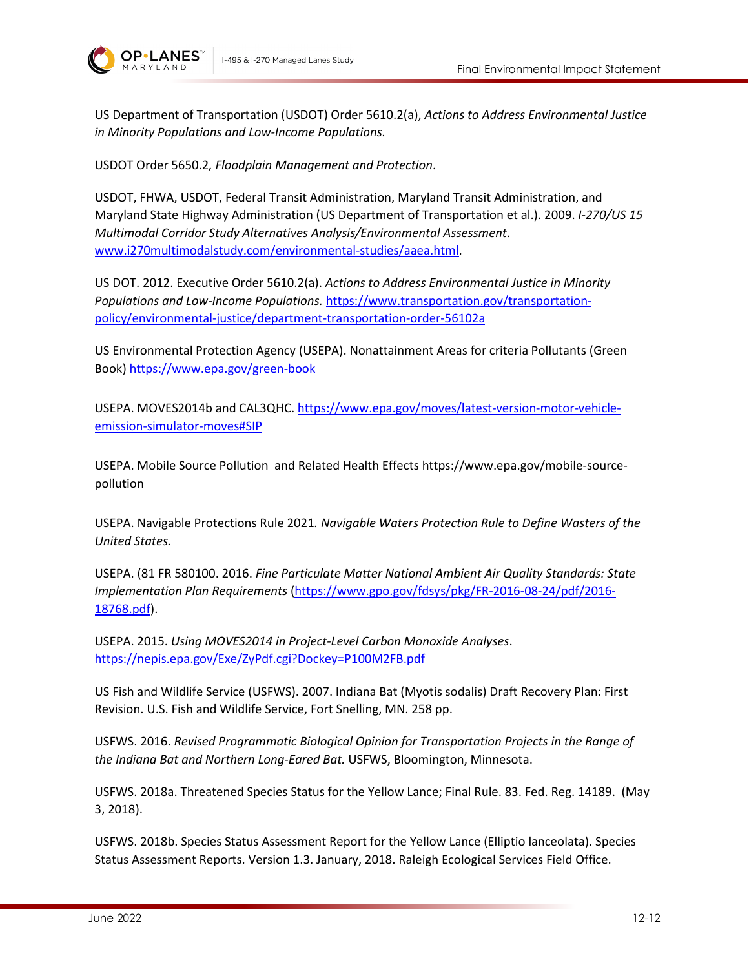



US Department of Transportation (USDOT) Order 5610.2(a), *Actions to Address Environmental Justice in Minority Populations and Low-Income Populations.*

USDOT Order 5650.2*, Floodplain Management and Protection*.

USDOT, FHWA, USDOT, Federal Transit Administration, Maryland Transit Administration, and Maryland State Highway Administration (US Department of Transportation et al.). 2009. *I-270/US 15 Multimodal Corridor Study Alternatives Analysis/Environmental Assessment*. www.i270multimodalstudy.com/environmental-studies/aaea.html.

US DOT. 2012. Executive Order 5610.2(a). *Actions to Address Environmental Justice in Minority Populations and Low-Income Populations.* [https://www.transportation.gov/transportation](https://www.transportation.gov/transportation-policy/environmental-justice/department-transportation-order-56102a)[policy/environmental-justice/department-transportation-order-56102a](https://www.transportation.gov/transportation-policy/environmental-justice/department-transportation-order-56102a)

US Environmental Protection Agency (USEPA). Nonattainment Areas for criteria Pollutants (Green Book)<https://www.epa.gov/green-book>

USEPA. MOVES2014b and CAL3QHC. [https://www.epa.gov/moves/latest-version-motor-vehicle](https://www.epa.gov/moves/latest-version-motor-vehicle-emission-simulator-moves#SIP)[emission-simulator-moves#SIP](https://www.epa.gov/moves/latest-version-motor-vehicle-emission-simulator-moves#SIP)

USEPA. Mobile Source Pollution and Related Health Effects https://www.epa.gov/mobile-sourcepollution

USEPA. Navigable Protections Rule 2021*. Navigable Waters Protection Rule to Define Wasters of the United States.*

USEPA. (81 FR 580100. 2016. *Fine Particulate Matter National Ambient Air Quality Standards: State Implementation Plan Requirements* [\(https://www.gpo.gov/fdsys/pkg/FR-2016-08-24/pdf/2016-](https://www.gpo.gov/fdsys/pkg/FR-2016-08-24/pdf/2016-18768.pdf) [18768.pdf\)](https://www.gpo.gov/fdsys/pkg/FR-2016-08-24/pdf/2016-18768.pdf).

USEPA. 2015. *Using MOVES2014 in Project-Level Carbon Monoxide Analyses*. <https://nepis.epa.gov/Exe/ZyPdf.cgi?Dockey=P100M2FB.pdf>

US Fish and Wildlife Service (USFWS). 2007. Indiana Bat (Myotis sodalis) Draft Recovery Plan: First Revision. U.S. Fish and Wildlife Service, Fort Snelling, MN. 258 pp.

USFWS. 2016. *Revised Programmatic Biological Opinion for Transportation Projects in the Range of the Indiana Bat and Northern Long-Eared Bat.* USFWS, Bloomington, Minnesota.

USFWS. 2018a. Threatened Species Status for the Yellow Lance; Final Rule. 83. Fed. Reg. 14189. (May 3, 2018).

USFWS. 2018b. Species Status Assessment Report for the Yellow Lance (Elliptio lanceolata). Species Status Assessment Reports. Version 1.3. January, 2018. Raleigh Ecological Services Field Office.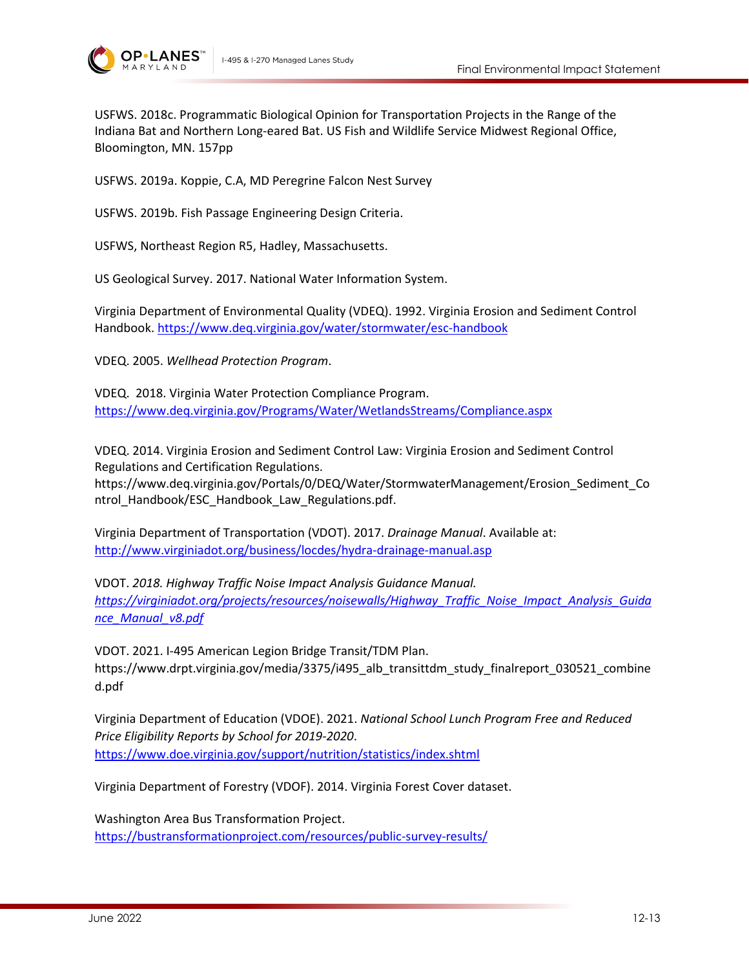



USFWS. 2018c. Programmatic Biological Opinion for Transportation Projects in the Range of the Indiana Bat and Northern Long-eared Bat. US Fish and Wildlife Service Midwest Regional Office, Bloomington, MN. 157pp

USFWS. 2019a. Koppie, C.A, MD Peregrine Falcon Nest Survey

USFWS. 2019b. Fish Passage Engineering Design Criteria.

USFWS, Northeast Region R5, Hadley, Massachusetts.

US Geological Survey. 2017. National Water Information System.

Virginia Department of Environmental Quality (VDEQ). 1992. Virginia Erosion and Sediment Control Handbook. <https://www.deq.virginia.gov/water/stormwater/esc-handbook>

VDEQ. 2005. *Wellhead Protection Program*.

VDEQ. 2018. Virginia Water Protection Compliance Program. <https://www.deq.virginia.gov/Programs/Water/WetlandsStreams/Compliance.aspx>

VDEQ. 2014. Virginia Erosion and Sediment Control Law: Virginia Erosion and Sediment Control Regulations and Certification Regulations.

[https://www.deq.virginia.gov/Portals/0/DEQ/Water/StormwaterManagement/Erosion\\_Sediment\\_Co](https://www.deq.virginia.gov/Portals/0/DEQ/Water/StormwaterManagement/Erosion_Sediment_Control_Handbook/ESC_Handbook_Law_Regulations.pdf) ntrol Handbook/ESC Handbook Law Regulations.pdf.

Virginia Department of Transportation (VDOT). 2017. *Drainage Manual*. Available at: <http://www.virginiadot.org/business/locdes/hydra-drainage-manual.asp>

VDOT. *2018. Highway Traffic Noise Impact Analysis Guidance Manual. [https://virginiadot.org/projects/resources/noisewalls/Highway\\_Traffic\\_Noise\\_Impact\\_Analysis\\_Guida](https://virginiadot.org/projects/resources/noisewalls/Highway_Traffic_Noise_Impact_Analysis_Guidance_Manual_v8.pdf) [nce\\_Manual\\_v8.pdf](https://virginiadot.org/projects/resources/noisewalls/Highway_Traffic_Noise_Impact_Analysis_Guidance_Manual_v8.pdf)*

VDOT. 2021. I-495 American Legion Bridge Transit/TDM Plan. https://www.drpt.virginia.gov/media/3375/i495 alb\_transittdm\_study\_finalreport\_030521\_combine d.pdf

Virginia Department of Education (VDOE). 2021. *National School Lunch Program Free and Reduced Price Eligibility Reports by School for 2019-2020*. <https://www.doe.virginia.gov/support/nutrition/statistics/index.shtml>

Virginia Department of Forestry (VDOF). 2014. Virginia Forest Cover dataset.

Washington Area Bus Transformation Project. <https://bustransformationproject.com/resources/public-survey-results/>